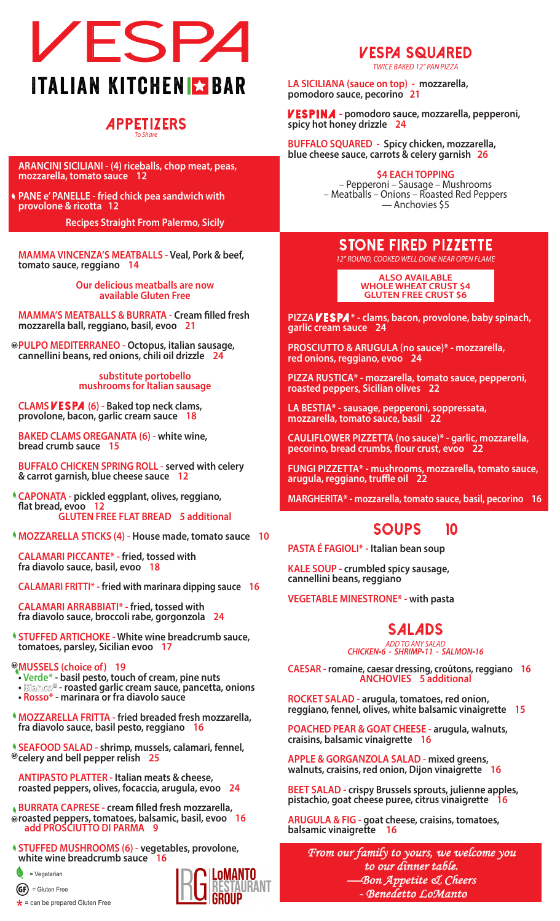

### **282 Main St., Farmingdale Village, New York 11735 APPETIZERS** *To Share*

**ARANCINI SICILIANI - (4) riceballs, chop meat, peas, mozzarella, tomato sauce 12**

**PANE e' PANELLE - fried chick pea sandwich with provolone & ricotta 12**

**Recipes Straight From Palermo, Sicily**

**MAMMA VINCENZA'S MEATBALLS - Veal, Pork & beef, tomato sauce, reggiano 14**

> **Our delicious meatballs are now available Gluten Free**

**MAMMA'S MEATBALLS & BURRATA - Cream filled fresh mozzarella ball, reggiano, basil, evoo 21**

**PULPO MEDITERRANEO - Octopus, italian sausage, cannellini beans, red onions, chili oil drizzle 24**

**substitute portobello mushrooms for Italian sausage**

**CLAMS V E S PA (6) - Baked top neck clams, provolone, bacon, garlic cream sauce 18**

**BAKED CLAMS OREGANATA (6) - white wine, bread crumb sauce 15**

**BUFFALO CHICKEN SPRING ROLL - served with celery & carrot garnish, blue cheese sauce 12**

- **CAPONATA pickled eggplant, olives, reggiano, flat bread, evoo 12 GLUTEN FREE FLAT BREAD 5 additional**
- **MOZZARELLA STICKS (4) House made, tomato sauce 10**

**CALAMARI PICCANTE\* - fried, tossed with fra diavolo sauce, basil, evoo 18**

**CALAMARI FRITTI\* - fried with marinara dipping sauce 16**

**CALAMARI ARRABBIATI\* - fried, tossed with fra diavolo sauce, broccoli rabe, gorgonzola 24**

**STUFFED ARTICHOKE - White wine breadcrumb sauce, tomatoes, parsley, Sicilian evoo 17**

### **MUSSELS (choice of) 19**

- **Verde\* basil pesto, touch of cream, pine nuts**
- **Biamco<sup>\*</sup> roasted garlic cream sauce, pancetta, onions**
- **Rosso\* marinara or fra diavolo sauce**
- **MOZZARELLA FRITTA fried breaded fresh mozzarella, fra diavolo sauce, basil pesto, reggiano 16**

**SEAFOOD SALAD - shrimp, mussels, calamari, fennel, celery and bell pepper relish 25**

**ANTIPASTO PLATTER - Italian meats & cheese, roasted peppers, olives, focaccia, arugula, evoo 24**

**BURRATA CAPRESE - cream filled fresh mozzarella, roasted peppers, tomatoes, balsamic, basil, evoo 16 add PROSCIUTTO DI PARMA 9**

**STUFFED MUSHROOMS (6) - vegetables, provolone, white wine breadcrumb sauce 16**



 $\star$  = can be prepared Gluten Free



# **VESPA SQUARED**

*TWICE BAKED 12" PAN PIZZA*

**LA SICILIANA (sauce on top) - mozzarella, pomodoro sauce, pecorino 21**

**VESPINA - pomodoro sauce, mozzarella, pepperoni, spicy hot honey drizzle 24**

**BUFFALO SQUARED - Spicy chicken, mozzarella, blue cheese sauce, carrots & celery garnish 26**

### **\$4 EACH TOPPING**

– Pepperoni – Sausage – Mushrooms – Meatballs – Onions – Roasted Red Peppers — Anchovies \$5

## **STONE FIRED PIZZETTE**

*12" ROUND, COOKED WELL DONE NEAR OPEN FLAME*

**ALSO AVAILABLE WHOLE WHEAT CRUST \$4 GLUTEN FREE CRUST \$6**

**PIZZA** *V* **ESPA**  $*$  - clams, bacon, provolone, baby spinach, garlic cream sauce 24

**PROSCIUTTO & ARUGULA (no sauce)\* - mozzarella, red onions, reggiano, evoo 24**

**PIZZA RUSTICA\* - mozzarella, tomato sauce, pepperoni, roasted peppers, Sicilian olives 22**

**LA BESTIA\* - sausage, pepperoni, soppressata, mozzarella, tomato sauce, basil 22**

**CAULIFLOWER PIZZETTA (no sauce)\* - garlic, mozzarella, pecorino, bread crumbs, flour crust, evoo 22**

**FUNGI PIZZETTA\* - mushrooms, mozzarella, tomato sauce, arugula, reggiano, truffle oil 22**

**MARGHERITA\* - mozzarella, tomato sauce, basil, pecorino 16**

## **SOUPS 10**

**PASTA É FAGIOLI\* - Italian bean soup**

**KALE SOUP - crumbled spicy sausage, cannellini beans, reggiano**

**VEGETABLE MINESTRONE\* - with pasta** 

## **SALADS**

*ADD TO ANY SALAD*  **CHICKEN•6 - SHRIMP•11 - SALMON•16**

**CAESAR - romaine, caesar dressing, croûtons, reggiano 16 ANCHOVIES 5 additional**

**ROCKET SALAD - arugula, tomatoes, red onion, reggiano, fennel, olives, white balsamic vinaigrette 15**

**POACHED PEAR & GOAT CHEESE - arugula, walnuts, craisins, balsamic vinaigrette 16**

**APPLE & GORGANZOLA SALAD - mixed greens, walnuts, craisins, red onion, Dijon vinaigrette 16**

**BEET SALAD - crispy Brussels sprouts, julienne apples, pistachio, goat cheese puree, citrus vinaigrette** 16

**ARUGULA & FIG - goat cheese, craisins, tomatoes, balsamic vinaigrette 16**

*From our family to yours, we welcome you to our dinner table. —Bon Appetite & Cheers - Benedetto LoManto*